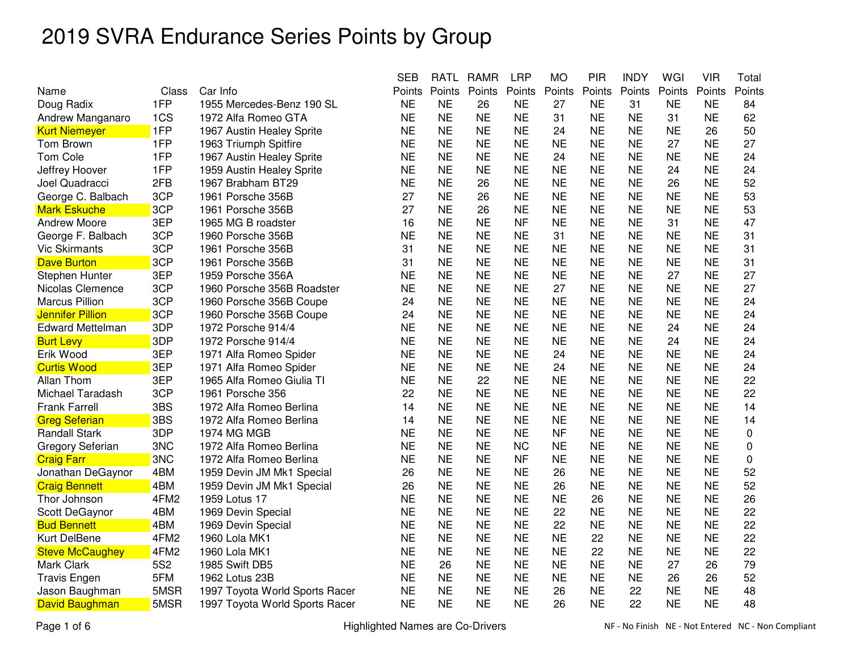|                         |                 |                                | <b>SEB</b> | RATL      | RAMR      | <b>LRP</b> | MО        | <b>PIR</b> | <b>INDY</b> | WGI       | VIR       | Total            |
|-------------------------|-----------------|--------------------------------|------------|-----------|-----------|------------|-----------|------------|-------------|-----------|-----------|------------------|
| Name                    | Class           | Car Info                       | Points     | Points    | Points    | Points     | Points    | Points     | Points      | Points    | Points    | Points           |
| Doug Radix              | 1FP             | 1955 Mercedes-Benz 190 SL      | <b>NE</b>  | <b>NE</b> | 26        | <b>NE</b>  | 27        | <b>NE</b>  | 31          | <b>NE</b> | <b>NE</b> | 84               |
| Andrew Manganaro        | 1CS             | 1972 Alfa Romeo GTA            | <b>NE</b>  | <b>NE</b> | <b>NE</b> | <b>NE</b>  | 31        | <b>NE</b>  | <b>NE</b>   | 31        | <b>NE</b> | 62               |
| <b>Kurt Niemeyer</b>    | 1FP             | 1967 Austin Healey Sprite      | <b>NE</b>  | <b>NE</b> | <b>NE</b> | <b>NE</b>  | 24        | <b>NE</b>  | <b>NE</b>   | <b>NE</b> | 26        | 50               |
| Tom Brown               | 1FP             | 1963 Triumph Spitfire          | <b>NE</b>  | <b>NE</b> | <b>NE</b> | <b>NE</b>  | <b>NE</b> | <b>NE</b>  | <b>NE</b>   | 27        | <b>NE</b> | 27               |
| <b>Tom Cole</b>         | 1FP             | 1967 Austin Healey Sprite      | <b>NE</b>  | <b>NE</b> | <b>NE</b> | <b>NE</b>  | 24        | <b>NE</b>  | <b>NE</b>   | <b>NE</b> | <b>NE</b> | 24               |
| Jeffrey Hoover          | 1FP             | 1959 Austin Healey Sprite      | <b>NE</b>  | <b>NE</b> | <b>NE</b> | <b>NE</b>  | <b>NE</b> | <b>NE</b>  | <b>NE</b>   | 24        | <b>NE</b> | 24               |
| Joel Quadracci          | 2FB             | 1967 Brabham BT29              | <b>NE</b>  | <b>NE</b> | 26        | <b>NE</b>  | <b>NE</b> | <b>NE</b>  | <b>NE</b>   | 26        | <b>NE</b> | 52               |
| George C. Balbach       | 3CP             | 1961 Porsche 356B              | 27         | <b>NE</b> | 26        | <b>NE</b>  | <b>NE</b> | <b>NE</b>  | <b>NE</b>   | <b>NE</b> | <b>NE</b> | 53               |
| <b>Mark Eskuche</b>     | 3CP             | 1961 Porsche 356B              | 27         | <b>NE</b> | 26        | <b>NE</b>  | <b>NE</b> | <b>NE</b>  | <b>NE</b>   | <b>NE</b> | <b>NE</b> | 53               |
| <b>Andrew Moore</b>     | 3EP             | 1965 MG B roadster             | 16         | <b>NE</b> | <b>NE</b> | <b>NF</b>  | <b>NE</b> | <b>NE</b>  | <b>NE</b>   | 31        | <b>NE</b> | 47               |
| George F. Balbach       | 3CP             | 1960 Porsche 356B              | <b>NE</b>  | <b>NE</b> | <b>NE</b> | <b>NE</b>  | 31        | <b>NE</b>  | <b>NE</b>   | <b>NE</b> | <b>NE</b> | 31               |
| <b>Vic Skirmants</b>    | 3CP             | 1961 Porsche 356B              | 31         | <b>NE</b> | <b>NE</b> | <b>NE</b>  | <b>NE</b> | <b>NE</b>  | <b>NE</b>   | <b>NE</b> | <b>NE</b> | 31               |
| <b>Dave Burton</b>      | 3CP             | 1961 Porsche 356B              | 31         | <b>NE</b> | <b>NE</b> | <b>NE</b>  | <b>NE</b> | <b>NE</b>  | <b>NE</b>   | <b>NE</b> | <b>NE</b> | 31               |
| Stephen Hunter          | 3EP             | 1959 Porsche 356A              | <b>NE</b>  | <b>NE</b> | <b>NE</b> | <b>NE</b>  | <b>NE</b> | <b>NE</b>  | <b>NE</b>   | 27        | <b>NE</b> | 27               |
| Nicolas Clemence        | 3CP             | 1960 Porsche 356B Roadster     | <b>NE</b>  | <b>NE</b> | <b>NE</b> | <b>NE</b>  | 27        | <b>NE</b>  | <b>NE</b>   | <b>NE</b> | <b>NE</b> | 27               |
| <b>Marcus Pillion</b>   | 3CP             | 1960 Porsche 356B Coupe        | 24         | <b>NE</b> | <b>NE</b> | <b>NE</b>  | <b>NE</b> | <b>NE</b>  | <b>NE</b>   | <b>NE</b> | <b>NE</b> | 24               |
| <b>Jennifer Pillion</b> | 3CP             | 1960 Porsche 356B Coupe        | 24         | <b>NE</b> | <b>NE</b> | <b>NE</b>  | <b>NE</b> | <b>NE</b>  | <b>NE</b>   | ΝE        | <b>NE</b> | 24               |
| <b>Edward Mettelman</b> | 3DP             | 1972 Porsche 914/4             | <b>NE</b>  | <b>NE</b> | <b>NE</b> | <b>NE</b>  | <b>NE</b> | <b>NE</b>  | <b>NE</b>   | 24        | <b>NE</b> | 24               |
| <b>Burt Levy</b>        | 3DP             | 1972 Porsche 914/4             | <b>NE</b>  | <b>NE</b> | <b>NE</b> | <b>NE</b>  | <b>NE</b> | <b>NE</b>  | <b>NE</b>   | 24        | <b>NE</b> | 24               |
| Erik Wood               | 3EP             | 1971 Alfa Romeo Spider         | <b>NE</b>  | <b>NE</b> | <b>NE</b> | <b>NE</b>  | 24        | <b>NE</b>  | <b>NE</b>   | <b>NE</b> | <b>NE</b> | 24               |
| <b>Curtis Wood</b>      | 3EP             | 1971 Alfa Romeo Spider         | <b>NE</b>  | <b>NE</b> | <b>NE</b> | <b>NE</b>  | 24        | <b>NE</b>  | <b>NE</b>   | <b>NE</b> | <b>NE</b> | 24               |
| Allan Thom              | 3EP             | 1965 Alfa Romeo Giulia TI      | <b>NE</b>  | <b>NE</b> | 22        | <b>NE</b>  | <b>NE</b> | <b>NE</b>  | <b>NE</b>   | <b>NE</b> | <b>NE</b> | 22               |
| Michael Taradash        | 3CP             | 1961 Porsche 356               | 22         | <b>NE</b> | <b>NE</b> | <b>NE</b>  | <b>NE</b> | <b>NE</b>  | <b>NE</b>   | <b>NE</b> | <b>NE</b> | 22               |
| <b>Frank Farrell</b>    | 3BS             | 1972 Alfa Romeo Berlina        | 14         | <b>NE</b> | <b>NE</b> | <b>NE</b>  | <b>NE</b> | <b>NE</b>  | <b>NE</b>   | <b>NE</b> | <b>NE</b> | 14               |
| <b>Greg Seferian</b>    | 3BS             | 1972 Alfa Romeo Berlina        | 14         | <b>NE</b> | <b>NE</b> | <b>NE</b>  | <b>NE</b> | <b>NE</b>  | <b>NE</b>   | <b>NE</b> | <b>NE</b> | 14               |
| <b>Randall Stark</b>    | 3DP             | 1974 MG MGB                    | <b>NE</b>  | <b>NE</b> | <b>NE</b> | <b>NE</b>  | <b>NF</b> | <b>NE</b>  | <b>NE</b>   | <b>NE</b> | <b>NE</b> | $\pmb{0}$        |
| <b>Gregory Seferian</b> | 3NC             | 1972 Alfa Romeo Berlina        | <b>NE</b>  | <b>NE</b> | <b>NE</b> | <b>NC</b>  | <b>NE</b> | <b>NE</b>  | <b>NE</b>   | <b>NE</b> | <b>NE</b> | $\boldsymbol{0}$ |
| <b>Craig Farr</b>       | 3NC             | 1972 Alfa Romeo Berlina        | <b>NE</b>  | <b>NE</b> | <b>NE</b> | <b>NF</b>  | <b>NE</b> | <b>NE</b>  | <b>NE</b>   | <b>NE</b> | <b>NE</b> | 0                |
| Jonathan DeGaynor       | 4BM             | 1959 Devin JM Mk1 Special      | 26         | <b>NE</b> | <b>NE</b> | <b>NE</b>  | 26        | <b>NE</b>  | <b>NE</b>   | <b>NE</b> | <b>NE</b> | 52               |
| <b>Craig Bennett</b>    | 4BM             | 1959 Devin JM Mk1 Special      | 26         | <b>NE</b> | <b>NE</b> | <b>NE</b>  | 26        | <b>NE</b>  | <b>NE</b>   | <b>NE</b> | <b>NE</b> | 52               |
| Thor Johnson            | 4FM2            | 1959 Lotus 17                  | <b>NE</b>  | <b>NE</b> | <b>NE</b> | <b>NE</b>  | <b>NE</b> | 26         | <b>NE</b>   | <b>NE</b> | <b>NE</b> | 26               |
| Scott DeGaynor          | 4BM             | 1969 Devin Special             | <b>NE</b>  | <b>NE</b> | <b>NE</b> | <b>NE</b>  | 22        | <b>NE</b>  | <b>NE</b>   | <b>NE</b> | <b>NE</b> | 22               |
| <b>Bud Bennett</b>      | 4BM             | 1969 Devin Special             | <b>NE</b>  | <b>NE</b> | <b>NE</b> | <b>NE</b>  | 22        | <b>NE</b>  | <b>NE</b>   | <b>NE</b> | <b>NE</b> | 22               |
| Kurt DelBene            | 4FM2            | 1960 Lola MK1                  | <b>NE</b>  | <b>NE</b> | <b>NE</b> | <b>NE</b>  | <b>NE</b> | 22         | <b>NE</b>   | <b>NE</b> | <b>NE</b> | 22               |
| <b>Steve McCaughey</b>  | 4FM2            | 1960 Lola MK1                  | <b>NE</b>  | <b>NE</b> | <b>NE</b> | <b>NE</b>  | <b>NE</b> | 22         | <b>NE</b>   | <b>NE</b> | <b>NE</b> | 22               |
| Mark Clark              | 5S <sub>2</sub> | 1985 Swift DB5                 | <b>NE</b>  | 26        | <b>NE</b> | <b>NE</b>  | <b>NE</b> | <b>NE</b>  | <b>NE</b>   | 27        | 26        | 79               |
| <b>Travis Engen</b>     | 5FM             | 1962 Lotus 23B                 | <b>NE</b>  | <b>NE</b> | <b>NE</b> | <b>NE</b>  | <b>NE</b> | <b>NE</b>  | <b>NE</b>   | 26        | 26        | 52               |
| Jason Baughman          | 5MSR            | 1997 Toyota World Sports Racer | <b>NE</b>  | <b>NE</b> | <b>NE</b> | <b>NE</b>  | 26        | <b>NE</b>  | 22          | <b>NE</b> | <b>NE</b> | 48               |
| David Baughman          | 5MSR            | 1997 Toyota World Sports Racer | <b>NE</b>  | <b>NE</b> | <b>NE</b> | <b>NE</b>  | 26        | <b>NE</b>  | 22          | <b>NE</b> | <b>NE</b> | 48               |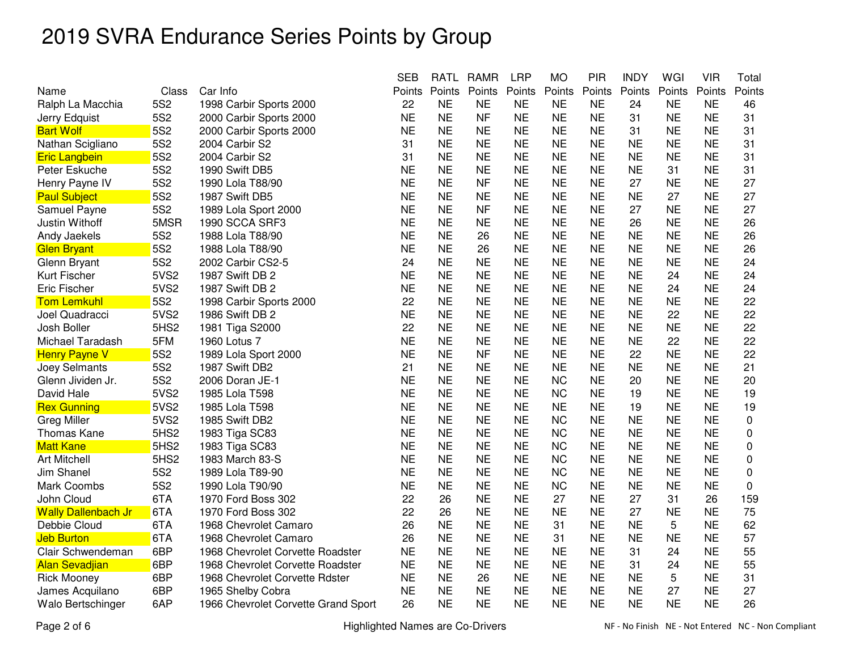|                            |                  |                                     | <b>SEB</b> | <b>RATL</b> | <b>RAMR</b> | <b>LRP</b> | <b>MO</b> | <b>PIR</b> | <b>INDY</b> | WGI       | <b>VIR</b> | Total    |
|----------------------------|------------------|-------------------------------------|------------|-------------|-------------|------------|-----------|------------|-------------|-----------|------------|----------|
| Name                       | Class            | Car Info                            | Points     | Points      | Points      | Points     | Points    | Points     | Points      | Points    | Points     | Points   |
| Ralph La Macchia           | 5S2              | 1998 Carbir Sports 2000             | 22         | <b>NE</b>   | <b>NE</b>   | <b>NE</b>  | <b>NE</b> | <b>NE</b>  | 24          | <b>NE</b> | <b>NE</b>  | 46       |
| Jerry Edquist              | 5S2              | 2000 Carbir Sports 2000             | <b>NE</b>  | <b>NE</b>   | <b>NF</b>   | <b>NE</b>  | <b>NE</b> | <b>NE</b>  | 31          | <b>NE</b> | <b>NE</b>  | 31       |
| <b>Bart Wolf</b>           | <b>5S2</b>       | 2000 Carbir Sports 2000             | <b>NE</b>  | <b>NE</b>   | <b>NE</b>   | <b>NE</b>  | <b>NE</b> | <b>NE</b>  | 31          | <b>NE</b> | <b>NE</b>  | 31       |
| Nathan Scigliano           | 5S <sub>2</sub>  | 2004 Carbir S2                      | 31         | <b>NE</b>   | <b>NE</b>   | <b>NE</b>  | <b>NE</b> | <b>NE</b>  | <b>NE</b>   | <b>NE</b> | <b>NE</b>  | 31       |
| <b>Eric Langbein</b>       | 5S <sub>2</sub>  | 2004 Carbir S2                      | 31         | <b>NE</b>   | <b>NE</b>   | <b>NE</b>  | <b>NE</b> | <b>NE</b>  | <b>NE</b>   | <b>NE</b> | <b>NE</b>  | 31       |
| Peter Eskuche              | <b>5S2</b>       | 1990 Swift DB5                      | <b>NE</b>  | <b>NE</b>   | <b>NE</b>   | <b>NE</b>  | <b>NE</b> | <b>NE</b>  | <b>NE</b>   | 31        | <b>NE</b>  | 31       |
| Henry Payne IV             | 5S <sub>2</sub>  | 1990 Lola T88/90                    | <b>NE</b>  | <b>NE</b>   | <b>NF</b>   | <b>NE</b>  | <b>NE</b> | <b>NE</b>  | 27          | <b>NE</b> | <b>NE</b>  | 27       |
| <b>Paul Subject</b>        | 5S <sub>2</sub>  | 1987 Swift DB5                      | <b>NE</b>  | <b>NE</b>   | <b>NE</b>   | <b>NE</b>  | <b>NE</b> | <b>NE</b>  | <b>NE</b>   | 27        | <b>NE</b>  | 27       |
| Samuel Payne               | 5S <sub>2</sub>  | 1989 Lola Sport 2000                | <b>NE</b>  | <b>NE</b>   | <b>NF</b>   | <b>NE</b>  | <b>NE</b> | <b>NE</b>  | 27          | <b>NE</b> | <b>NE</b>  | 27       |
| Justin Withoff             | 5MSR             | 1990 SCCA SRF3                      | <b>NE</b>  | <b>NE</b>   | <b>NE</b>   | <b>NE</b>  | <b>NE</b> | <b>NE</b>  | 26          | <b>NE</b> | <b>NE</b>  | 26       |
| Andy Jaekels               | 5S <sub>2</sub>  | 1988 Lola T88/90                    | <b>NE</b>  | <b>NE</b>   | 26          | <b>NE</b>  | <b>NE</b> | <b>NE</b>  | <b>NE</b>   | <b>NE</b> | <b>NE</b>  | 26       |
| <b>Glen Bryant</b>         | <b>5S2</b>       | 1988 Lola T88/90                    | <b>NE</b>  | <b>NE</b>   | 26          | <b>NE</b>  | <b>NE</b> | <b>NE</b>  | <b>NE</b>   | <b>NE</b> | <b>NE</b>  | 26       |
| Glenn Bryant               | 5S2              | 2002 Carbir CS2-5                   | 24         | <b>NE</b>   | <b>NE</b>   | <b>NE</b>  | <b>NE</b> | <b>NE</b>  | <b>NE</b>   | <b>NE</b> | <b>NE</b>  | 24       |
| Kurt Fischer               | 5VS2             | 1987 Swift DB 2                     | <b>NE</b>  | <b>NE</b>   | <b>NE</b>   | <b>NE</b>  | <b>NE</b> | <b>NE</b>  | <b>NE</b>   | 24        | <b>NE</b>  | 24       |
| <b>Eric Fischer</b>        | 5VS2             | 1987 Swift DB 2                     | <b>NE</b>  | <b>NE</b>   | <b>NE</b>   | <b>NE</b>  | <b>NE</b> | <b>NE</b>  | <b>NE</b>   | 24        | <b>NE</b>  | 24       |
| <b>Tom Lemkuhl</b>         | <b>5S2</b>       | 1998 Carbir Sports 2000             | 22         | <b>NE</b>   | <b>NE</b>   | <b>NE</b>  | <b>NE</b> | <b>NE</b>  | <b>NE</b>   | <b>NE</b> | <b>NE</b>  | 22       |
| Joel Quadracci             | 5VS2             | 1986 Swift DB 2                     | <b>NE</b>  | <b>NE</b>   | <b>NE</b>   | <b>NE</b>  | <b>NE</b> | <b>NE</b>  | <b>NE</b>   | 22        | <b>NE</b>  | 22       |
| Josh Boller                | 5HS <sub>2</sub> | 1981 Tiga S2000                     | 22         | <b>NE</b>   | <b>NE</b>   | <b>NE</b>  | <b>NE</b> | <b>NE</b>  | <b>NE</b>   | <b>NE</b> | <b>NE</b>  | 22       |
| Michael Taradash           | 5FM              | 1960 Lotus 7                        | <b>NE</b>  | <b>NE</b>   | <b>NE</b>   | <b>NE</b>  | <b>NE</b> | <b>NE</b>  | <b>NE</b>   | 22        | <b>NE</b>  | 22       |
| <b>Henry Payne V</b>       | <b>5S2</b>       | 1989 Lola Sport 2000                | <b>NE</b>  | <b>NE</b>   | <b>NF</b>   | <b>NE</b>  | <b>NE</b> | <b>NE</b>  | 22          | <b>NE</b> | <b>NE</b>  | 22       |
| Joey Selmants              | <b>5S2</b>       | 1987 Swift DB2                      | 21         | <b>NE</b>   | <b>NE</b>   | <b>NE</b>  | <b>NE</b> | <b>NE</b>  | <b>NE</b>   | <b>NE</b> | <b>NE</b>  | 21       |
| Glenn Jividen Jr.          | 5S <sub>2</sub>  | 2006 Doran JE-1                     | <b>NE</b>  | <b>NE</b>   | <b>NE</b>   | <b>NE</b>  | <b>NC</b> | <b>NE</b>  | 20          | <b>NE</b> | <b>NE</b>  | 20       |
| David Hale                 | 5VS2             | 1985 Lola T598                      | <b>NE</b>  | <b>NE</b>   | <b>NE</b>   | <b>NE</b>  | <b>NC</b> | <b>NE</b>  | 19          | <b>NE</b> | <b>NE</b>  | 19       |
| <b>Rex Gunning</b>         | 5VS2             | 1985 Lola T598                      | <b>NE</b>  | <b>NE</b>   | <b>NE</b>   | <b>NE</b>  | <b>NE</b> | <b>NE</b>  | 19          | <b>NE</b> | <b>NE</b>  | 19       |
| <b>Greg Miller</b>         | 5VS2             | 1985 Swift DB2                      | <b>NE</b>  | <b>NE</b>   | <b>NE</b>   | <b>NE</b>  | <b>NC</b> | <b>NE</b>  | <b>NE</b>   | <b>NE</b> | <b>NE</b>  | 0        |
| <b>Thomas Kane</b>         | 5HS <sub>2</sub> | 1983 Tiga SC83                      | <b>NE</b>  | <b>NE</b>   | <b>NE</b>   | <b>NE</b>  | <b>NC</b> | <b>NE</b>  | <b>NE</b>   | <b>NE</b> | <b>NE</b>  | 0        |
| <b>Matt Kane</b>           | 5HS <sub>2</sub> | 1983 Tiga SC83                      | <b>NE</b>  | <b>NE</b>   | <b>NE</b>   | <b>NE</b>  | <b>NC</b> | <b>NE</b>  | <b>NE</b>   | <b>NE</b> | <b>NE</b>  | 0        |
| <b>Art Mitchell</b>        | 5HS <sub>2</sub> | 1983 March 83-S                     | <b>NE</b>  | <b>NE</b>   | <b>NE</b>   | <b>NE</b>  | <b>NC</b> | <b>NE</b>  | <b>NE</b>   | <b>NE</b> | <b>NE</b>  | 0        |
| <b>Jim Shanel</b>          | 5S <sub>2</sub>  | 1989 Lola T89-90                    | <b>NE</b>  | <b>NE</b>   | <b>NE</b>   | <b>NE</b>  | <b>NC</b> | <b>NE</b>  | <b>NE</b>   | <b>NE</b> | <b>NE</b>  | 0        |
| Mark Coombs                | 5S <sub>2</sub>  | 1990 Lola T90/90                    | <b>NE</b>  | <b>NE</b>   | <b>NE</b>   | <b>NE</b>  | <b>NC</b> | <b>NE</b>  | <b>NE</b>   | <b>NE</b> | <b>NE</b>  | $\Omega$ |
| John Cloud                 | 6TA              | 1970 Ford Boss 302                  | 22         | 26          | <b>NE</b>   | <b>NE</b>  | 27        | <b>NE</b>  | 27          | 31        | 26         | 159      |
| <b>Wally Dallenbach Jr</b> | 6TA              | 1970 Ford Boss 302                  | 22         | 26          | <b>NE</b>   | <b>NE</b>  | <b>NE</b> | <b>NE</b>  | 27          | <b>NE</b> | <b>NE</b>  | 75       |
| Debbie Cloud               | 6TA              | 1968 Chevrolet Camaro               | 26         | <b>NE</b>   | <b>NE</b>   | <b>NE</b>  | 31        | <b>NE</b>  | <b>NE</b>   | 5         | <b>NE</b>  | 62       |
| <b>Jeb Burton</b>          | 6TA              | 1968 Chevrolet Camaro               | 26         | <b>NE</b>   | <b>NE</b>   | <b>NE</b>  | 31        | <b>NE</b>  | <b>NE</b>   | <b>NE</b> | <b>NE</b>  | 57       |
| Clair Schwendeman          | 6BP              | 1968 Chevrolet Corvette Roadster    | <b>NE</b>  | <b>NE</b>   | <b>NE</b>   | <b>NE</b>  | <b>NE</b> | <b>NE</b>  | 31          | 24        | <b>NE</b>  | 55       |
| <b>Alan Sevadjian</b>      | 6BP              | 1968 Chevrolet Corvette Roadster    | <b>NE</b>  | <b>NE</b>   | <b>NE</b>   | <b>NE</b>  | <b>NE</b> | <b>NE</b>  | 31          | 24        | <b>NE</b>  | 55       |
| <b>Rick Mooney</b>         | 6BP              | 1968 Chevrolet Corvette Rdster      | <b>NE</b>  | <b>NE</b>   | 26          | <b>NE</b>  | <b>NE</b> | <b>NE</b>  | <b>NE</b>   | 5         | <b>NE</b>  | 31       |
| James Acquilano            | 6BP              | 1965 Shelby Cobra                   | <b>NE</b>  | <b>NE</b>   | <b>NE</b>   | <b>NE</b>  | <b>NE</b> | <b>NE</b>  | <b>NE</b>   | 27        | <b>NE</b>  | 27       |
| Walo Bertschinger          | 6AP              | 1966 Chevrolet Corvette Grand Sport | 26         | <b>NE</b>   | <b>NE</b>   | <b>NE</b>  | <b>NE</b> | <b>NE</b>  | <b>NE</b>   | <b>NE</b> | <b>NE</b>  | 26       |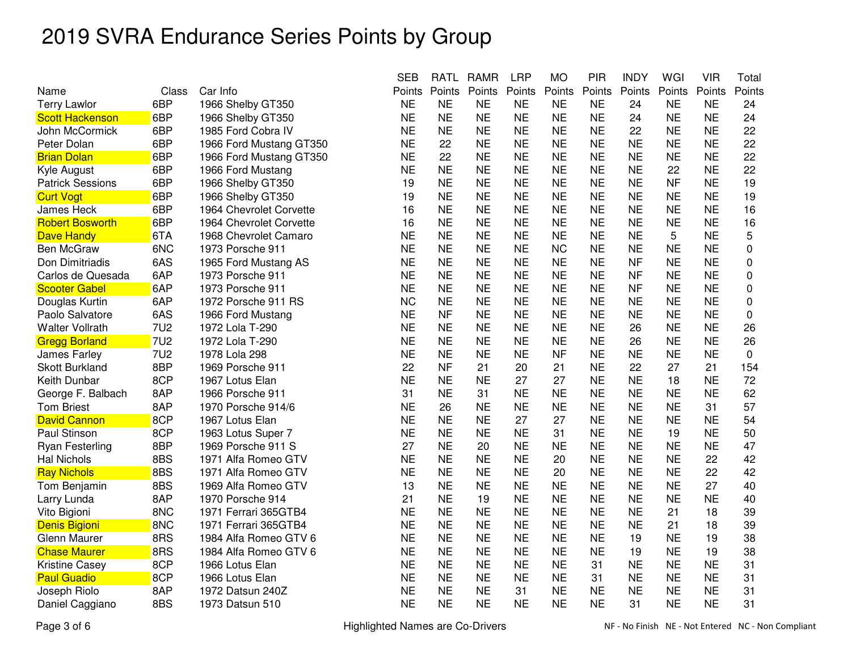|                         |            |                         | <b>SEB</b> | RATL      | <b>RAMR</b> | <b>LRP</b> | <b>MO</b> | PIR       | <b>INDY</b> | WGI       | VIR       | Total       |
|-------------------------|------------|-------------------------|------------|-----------|-------------|------------|-----------|-----------|-------------|-----------|-----------|-------------|
| Name                    | Class      | Car Info                | Points     | Points    | Points      | Points     | Points    | Points    | Points      | Points    | Points    | Points      |
| <b>Terry Lawlor</b>     | 6BP        | 1966 Shelby GT350       | <b>NE</b>  | <b>NE</b> | <b>NE</b>   | <b>NE</b>  | <b>NE</b> | <b>NE</b> | 24          | <b>NE</b> | <b>NE</b> | 24          |
| <b>Scott Hackenson</b>  | 6BP        | 1966 Shelby GT350       | <b>NE</b>  | <b>NE</b> | <b>NE</b>   | <b>NE</b>  | <b>NE</b> | <b>NE</b> | 24          | <b>NE</b> | <b>NE</b> | 24          |
| John McCormick          | 6BP        | 1985 Ford Cobra IV      | <b>NE</b>  | <b>NE</b> | <b>NE</b>   | <b>NE</b>  | <b>NE</b> | <b>NE</b> | 22          | <b>NE</b> | <b>NE</b> | 22          |
| Peter Dolan             | 6BP        | 1966 Ford Mustang GT350 | <b>NE</b>  | 22        | <b>NE</b>   | <b>NE</b>  | <b>NE</b> | <b>NE</b> | <b>NE</b>   | <b>NE</b> | <b>NE</b> | 22          |
| <b>Brian Dolan</b>      | 6BP        | 1966 Ford Mustang GT350 | <b>NE</b>  | 22        | <b>NE</b>   | <b>NE</b>  | <b>NE</b> | <b>NE</b> | NE          | <b>NE</b> | ΝE        | 22          |
| Kyle August             | 6BP        | 1966 Ford Mustang       | <b>NE</b>  | <b>NE</b> | <b>NE</b>   | <b>NE</b>  | <b>NE</b> | <b>NE</b> | <b>NE</b>   | 22        | <b>NE</b> | 22          |
| <b>Patrick Sessions</b> | 6BP        | 1966 Shelby GT350       | 19         | <b>NE</b> | <b>NE</b>   | <b>NE</b>  | <b>NE</b> | <b>NE</b> | <b>NE</b>   | <b>NF</b> | <b>NE</b> | 19          |
| <b>Curt Vogt</b>        | 6BP        | 1966 Shelby GT350       | 19         | <b>NE</b> | <b>NE</b>   | <b>NE</b>  | <b>NE</b> | <b>NE</b> | <b>NE</b>   | <b>NE</b> | <b>NE</b> | 19          |
| James Heck              | 6BP        | 1964 Chevrolet Corvette | 16         | <b>NE</b> | <b>NE</b>   | <b>NE</b>  | <b>NE</b> | <b>NE</b> | <b>NE</b>   | <b>NE</b> | <b>NE</b> | 16          |
| <b>Robert Bosworth</b>  | 6BP        | 1964 Chevrolet Corvette | 16         | <b>NE</b> | <b>NE</b>   | <b>NE</b>  | <b>NE</b> | <b>NE</b> | <b>NE</b>   | <b>NE</b> | <b>NE</b> | 16          |
| <b>Dave Handy</b>       | 6TA        | 1968 Chevrolet Camaro   | <b>NE</b>  | <b>NE</b> | <b>NE</b>   | <b>NE</b>  | <b>NE</b> | <b>NE</b> | <b>NE</b>   | 5         | <b>NE</b> | 5           |
| <b>Ben McGraw</b>       | 6NC        | 1973 Porsche 911        | <b>NE</b>  | <b>NE</b> | <b>NE</b>   | <b>NE</b>  | <b>NC</b> | <b>NE</b> | <b>NE</b>   | <b>NE</b> | <b>NE</b> | $\mathbf 0$ |
| Don Dimitriadis         | 6AS        | 1965 Ford Mustang AS    | <b>NE</b>  | <b>NE</b> | <b>NE</b>   | <b>NE</b>  | <b>NE</b> | <b>NE</b> | <b>NF</b>   | <b>NE</b> | <b>NE</b> | 0           |
| Carlos de Quesada       | 6AP        | 1973 Porsche 911        | <b>NE</b>  | <b>NE</b> | <b>NE</b>   | <b>NE</b>  | <b>NE</b> | <b>NE</b> | <b>NF</b>   | <b>NE</b> | <b>NE</b> | $\mathbf 0$ |
| <b>Scooter Gabel</b>    | 6AP        | 1973 Porsche 911        | <b>NE</b>  | <b>NE</b> | <b>NE</b>   | <b>NE</b>  | <b>NE</b> | <b>NE</b> | <b>NF</b>   | <b>NE</b> | <b>NE</b> | 0           |
| Douglas Kurtin          | 6AP        | 1972 Porsche 911 RS     | <b>NC</b>  | <b>NE</b> | <b>NE</b>   | <b>NE</b>  | <b>NE</b> | <b>NE</b> | NE          | <b>NE</b> | ΝE        | 0           |
| Paolo Salvatore         | 6AS        | 1966 Ford Mustang       | <b>NE</b>  | <b>NF</b> | <b>NE</b>   | <b>NE</b>  | <b>NE</b> | <b>NE</b> | <b>NE</b>   | <b>NE</b> | <b>NE</b> | 0           |
| <b>Walter Vollrath</b>  | <b>7U2</b> | 1972 Lola T-290         | <b>NE</b>  | <b>NE</b> | <b>NE</b>   | <b>NE</b>  | <b>NE</b> | <b>NE</b> | 26          | <b>NE</b> | <b>NE</b> | 26          |
| <b>Gregg Borland</b>    | <b>7U2</b> | 1972 Lola T-290         | <b>NE</b>  | <b>NE</b> | <b>NE</b>   | <b>NE</b>  | <b>NE</b> | <b>NE</b> | 26          | <b>NE</b> | <b>NE</b> | 26          |
| James Farley            | <b>7U2</b> | 1978 Lola 298           | <b>NE</b>  | <b>NE</b> | <b>NE</b>   | <b>NE</b>  | <b>NF</b> | <b>NE</b> | <b>NE</b>   | <b>NE</b> | <b>NE</b> | 0           |
| <b>Skott Burkland</b>   | 8BP        | 1969 Porsche 911        | 22         | <b>NF</b> | 21          | 20         | 21        | <b>NE</b> | 22          | 27        | 21        | 154         |
| Keith Dunbar            | 8CP        | 1967 Lotus Elan         | <b>NE</b>  | <b>NE</b> | <b>NE</b>   | 27         | 27        | <b>NE</b> | <b>NE</b>   | 18        | <b>NE</b> | 72          |
| George F. Balbach       | 8AP        | 1966 Porsche 911        | 31         | <b>NE</b> | 31          | <b>NE</b>  | <b>NE</b> | <b>NE</b> | <b>NE</b>   | <b>NE</b> | <b>NE</b> | 62          |
| <b>Tom Briest</b>       | 8AP        | 1970 Porsche 914/6      | <b>NE</b>  | 26        | <b>NE</b>   | <b>NE</b>  | <b>NE</b> | <b>NE</b> | <b>NE</b>   | <b>NE</b> | 31        | 57          |
| <b>David Cannon</b>     | 8CP        | 1967 Lotus Elan         | <b>NE</b>  | <b>NE</b> | <b>NE</b>   | 27         | 27        | <b>NE</b> | <b>NE</b>   | <b>NE</b> | <b>NE</b> | 54          |
| Paul Stinson            | 8CP        | 1963 Lotus Super 7      | <b>NE</b>  | <b>NE</b> | <b>NE</b>   | <b>NE</b>  | 31        | <b>NE</b> | <b>NE</b>   | 19        | <b>NE</b> | 50          |
| <b>Ryan Festerling</b>  | 8BP        | 1969 Porsche 911 S      | 27         | <b>NE</b> | 20          | <b>NE</b>  | <b>NE</b> | <b>NE</b> | <b>NE</b>   | NE        | <b>NE</b> | 47          |
| <b>Hal Nichols</b>      | 8BS        | 1971 Alfa Romeo GTV     | <b>NE</b>  | <b>NE</b> | <b>NE</b>   | <b>NE</b>  | 20        | <b>NE</b> | <b>NE</b>   | <b>NE</b> | 22        | 42          |
| <b>Ray Nichols</b>      | 8BS        | 1971 Alfa Romeo GTV     | <b>NE</b>  | <b>NE</b> | <b>NE</b>   | <b>NE</b>  | 20        | <b>NE</b> | <b>NE</b>   | <b>NE</b> | 22        | 42          |
| Tom Benjamin            | 8BS        | 1969 Alfa Romeo GTV     | 13         | <b>NE</b> | <b>NE</b>   | <b>NE</b>  | <b>NE</b> | <b>NE</b> | <b>NE</b>   | <b>NE</b> | 27        | 40          |
| Larry Lunda             | 8AP        | 1970 Porsche 914        | 21         | <b>NE</b> | 19          | <b>NE</b>  | <b>NE</b> | <b>NE</b> | <b>NE</b>   | <b>NE</b> | <b>NE</b> | 40          |
| Vito Bigioni            | 8NC        | 1971 Ferrari 365GTB4    | <b>NE</b>  | <b>NE</b> | <b>NE</b>   | <b>NE</b>  | <b>NE</b> | <b>NE</b> | <b>NE</b>   | 21        | 18        | 39          |
| Denis Bigioni           | 8NC        | 1971 Ferrari 365GTB4    | <b>NE</b>  | <b>NE</b> | <b>NE</b>   | <b>NE</b>  | <b>NE</b> | <b>NE</b> | <b>NE</b>   | 21        | 18        | 39          |
| <b>Glenn Maurer</b>     | 8RS        | 1984 Alfa Romeo GTV 6   | <b>NE</b>  | <b>NE</b> | <b>NE</b>   | <b>NE</b>  | <b>NE</b> | <b>NE</b> | 19          | <b>NE</b> | 19        | 38          |
| <b>Chase Maurer</b>     | 8RS        | 1984 Alfa Romeo GTV 6   | <b>NE</b>  | <b>NE</b> | <b>NE</b>   | <b>NE</b>  | <b>NE</b> | <b>NE</b> | 19          | <b>NE</b> | 19        | 38          |
| Kristine Casey          | 8CP        | 1966 Lotus Elan         | <b>NE</b>  | <b>NE</b> | <b>NE</b>   | <b>NE</b>  | <b>NE</b> | 31        | <b>NE</b>   | <b>NE</b> | <b>NE</b> | 31          |
| <b>Paul Guadio</b>      | 8CP        | 1966 Lotus Elan         | <b>NE</b>  | <b>NE</b> | <b>NE</b>   | <b>NE</b>  | <b>NE</b> | 31        | <b>NE</b>   | <b>NE</b> | <b>NE</b> | 31          |
| Joseph Riolo            | 8AP        | 1972 Datsun 240Z        | <b>NE</b>  | <b>NE</b> | <b>NE</b>   | 31         | <b>NE</b> | <b>NE</b> | <b>NE</b>   | <b>NE</b> | <b>NE</b> | 31          |
| Daniel Caggiano         | 8BS        | 1973 Datsun 510         | <b>NE</b>  | <b>NE</b> | <b>NE</b>   | <b>NE</b>  | <b>NE</b> | <b>NE</b> | 31          | <b>NE</b> | <b>NE</b> | 31          |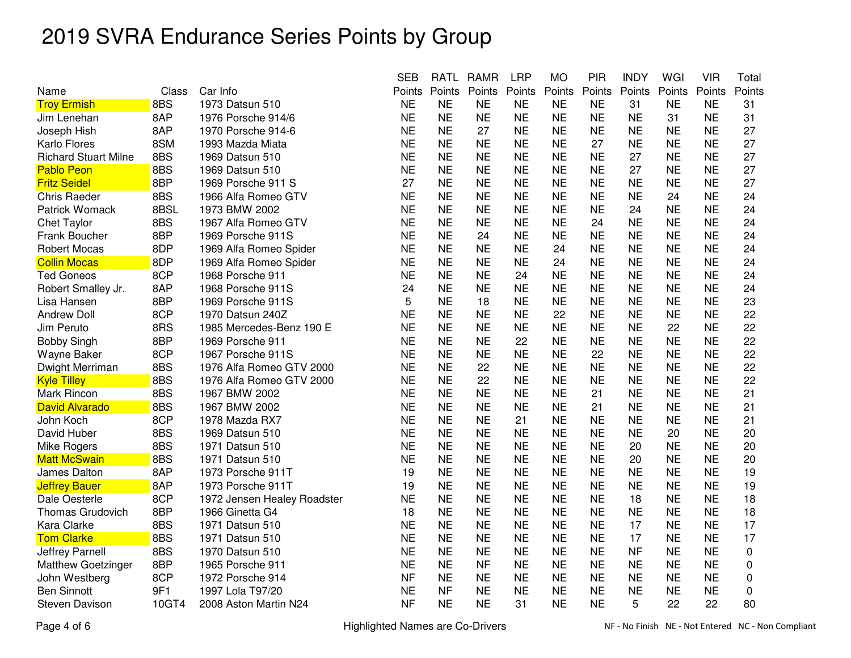|                             |       |                             | <b>SEB</b> | <b>RATL</b> | <b>RAMR</b> | <b>LRP</b> | <b>MO</b> | <b>PIR</b> | <b>INDY</b> | WGI       | <b>VIR</b> | Total  |
|-----------------------------|-------|-----------------------------|------------|-------------|-------------|------------|-----------|------------|-------------|-----------|------------|--------|
| Name                        | Class | Car Info                    | Points     | Points      | Points      | Points     | Points    | Points     | Points      | Points    | Points     | Points |
| <b>Troy Ermish</b>          | 8BS   | 1973 Datsun 510             | <b>NE</b>  | <b>NE</b>   | <b>NE</b>   | <b>NE</b>  | <b>NE</b> | <b>NE</b>  | 31          | <b>NE</b> | <b>NE</b>  | 31     |
| Jim Lenehan                 | 8AP   | 1976 Porsche 914/6          | <b>NE</b>  | <b>NE</b>   | <b>NE</b>   | <b>NE</b>  | <b>NE</b> | <b>NE</b>  | <b>NE</b>   | 31        | <b>NE</b>  | 31     |
| Joseph Hish                 | 8AP   | 1970 Porsche 914-6          | <b>NE</b>  | <b>NE</b>   | 27          | <b>NE</b>  | <b>NE</b> | <b>NE</b>  | <b>NE</b>   | <b>NE</b> | <b>NE</b>  | 27     |
| Karlo Flores                | 8SM   | 1993 Mazda Miata            | <b>NE</b>  | <b>NE</b>   | <b>NE</b>   | <b>NE</b>  | <b>NE</b> | 27         | <b>NE</b>   | <b>NE</b> | <b>NE</b>  | 27     |
| <b>Richard Stuart Milne</b> | 8BS   | 1969 Datsun 510             | <b>NE</b>  | <b>NE</b>   | <b>NE</b>   | <b>NE</b>  | <b>NE</b> | <b>NE</b>  | 27          | <b>NE</b> | <b>NE</b>  | 27     |
| <b>Pablo Peon</b>           | 8BS   | 1969 Datsun 510             | <b>NE</b>  | <b>NE</b>   | <b>NE</b>   | <b>NE</b>  | <b>NE</b> | <b>NE</b>  | 27          | NE        | <b>NE</b>  | 27     |
| <b>Fritz Seidel</b>         | 8BP   | 1969 Porsche 911 S          | 27         | <b>NE</b>   | <b>NE</b>   | <b>NE</b>  | <b>NE</b> | <b>NE</b>  | <b>NE</b>   | <b>NE</b> | <b>NE</b>  | 27     |
| <b>Chris Raeder</b>         | 8BS   | 1966 Alfa Romeo GTV         | <b>NE</b>  | <b>NE</b>   | <b>NE</b>   | <b>NE</b>  | <b>NE</b> | <b>NE</b>  | <b>NE</b>   | 24        | <b>NE</b>  | 24     |
| <b>Patrick Womack</b>       | 8BSL  | 1973 BMW 2002               | <b>NE</b>  | <b>NE</b>   | <b>NE</b>   | <b>NE</b>  | <b>NE</b> | <b>NE</b>  | 24          | <b>NE</b> | <b>NE</b>  | 24     |
| <b>Chet Taylor</b>          | 8BS   | 1967 Alfa Romeo GTV         | <b>NE</b>  | <b>NE</b>   | <b>NE</b>   | <b>NE</b>  | <b>NE</b> | 24         | <b>NE</b>   | <b>NE</b> | <b>NE</b>  | 24     |
| Frank Boucher               | 8BP   | 1969 Porsche 911S           | <b>NE</b>  | <b>NE</b>   | 24          | <b>NE</b>  | <b>NE</b> | <b>NE</b>  | <b>NE</b>   | <b>NE</b> | <b>NE</b>  | 24     |
| <b>Robert Mocas</b>         | 8DP   | 1969 Alfa Romeo Spider      | <b>NE</b>  | <b>NE</b>   | <b>NE</b>   | <b>NE</b>  | 24        | <b>NE</b>  | <b>NE</b>   | NE        | <b>NE</b>  | 24     |
| <b>Collin Mocas</b>         | 8DP   | 1969 Alfa Romeo Spider      | <b>NE</b>  | <b>NE</b>   | <b>NE</b>   | <b>NE</b>  | 24        | <b>NE</b>  | <b>NE</b>   | <b>NE</b> | <b>NE</b>  | 24     |
| <b>Ted Goneos</b>           | 8CP   | 1968 Porsche 911            | <b>NE</b>  | <b>NE</b>   | <b>NE</b>   | 24         | <b>NE</b> | <b>NE</b>  | <b>NE</b>   | <b>NE</b> | <b>NE</b>  | 24     |
| Robert Smalley Jr.          | 8AP   | 1968 Porsche 911S           | 24         | <b>NE</b>   | <b>NE</b>   | <b>NE</b>  | <b>NE</b> | <b>NE</b>  | <b>NE</b>   | <b>NE</b> | <b>NE</b>  | 24     |
| Lisa Hansen                 | 8BP   | 1969 Porsche 911S           | 5          | <b>NE</b>   | 18          | <b>NE</b>  | <b>NE</b> | <b>NE</b>  | <b>NE</b>   | <b>NE</b> | <b>NE</b>  | 23     |
| <b>Andrew Doll</b>          | 8CP   | 1970 Datsun 240Z            | <b>NE</b>  | <b>NE</b>   | <b>NE</b>   | <b>NE</b>  | 22        | <b>NE</b>  | <b>NE</b>   | <b>NE</b> | <b>NE</b>  | 22     |
| Jim Peruto                  | 8RS   | 1985 Mercedes-Benz 190 E    | <b>NE</b>  | <b>NE</b>   | <b>NE</b>   | <b>NE</b>  | <b>NE</b> | <b>NE</b>  | ΝE          | 22        | ΝE         | 22     |
| <b>Bobby Singh</b>          | 8BP   | 1969 Porsche 911            | <b>NE</b>  | <b>NE</b>   | <b>NE</b>   | 22         | <b>NE</b> | <b>NE</b>  | <b>NE</b>   | <b>NE</b> | <b>NE</b>  | 22     |
| Wayne Baker                 | 8CP   | 1967 Porsche 911S           | <b>NE</b>  | <b>NE</b>   | <b>NE</b>   | <b>NE</b>  | <b>NE</b> | 22         | <b>NE</b>   | <b>NE</b> | <b>NE</b>  | 22     |
| Dwight Merriman             | 8BS   | 1976 Alfa Romeo GTV 2000    | <b>NE</b>  | <b>NE</b>   | 22          | <b>NE</b>  | <b>NE</b> | <b>NE</b>  | <b>NE</b>   | <b>NE</b> | <b>NE</b>  | 22     |
| <b>Kyle Tilley</b>          | 8BS   | 1976 Alfa Romeo GTV 2000    | <b>NE</b>  | <b>NE</b>   | 22          | <b>NE</b>  | <b>NE</b> | <b>NE</b>  | <b>NE</b>   | <b>NE</b> | <b>NE</b>  | 22     |
| Mark Rincon                 | 8BS   | 1967 BMW 2002               | <b>NE</b>  | <b>NE</b>   | <b>NE</b>   | <b>NE</b>  | <b>NE</b> | 21         | <b>NE</b>   | <b>NE</b> | <b>NE</b>  | 21     |
| <b>David Alvarado</b>       | 8BS   | 1967 BMW 2002               | <b>NE</b>  | <b>NE</b>   | <b>NE</b>   | <b>NE</b>  | <b>NE</b> | 21         | <b>NE</b>   | NΕ        | <b>NE</b>  | 21     |
| John Koch                   | 8CP   | 1978 Mazda RX7              | <b>NE</b>  | <b>NE</b>   | <b>NE</b>   | 21         | <b>NE</b> | <b>NE</b>  | <b>NE</b>   | <b>NE</b> | <b>NE</b>  | 21     |
| David Huber                 | 8BS   | 1969 Datsun 510             | <b>NE</b>  | <b>NE</b>   | <b>NE</b>   | <b>NE</b>  | <b>NE</b> | <b>NE</b>  | <b>NE</b>   | 20        | <b>NE</b>  | 20     |
| Mike Rogers                 | 8BS   | 1971 Datsun 510             | <b>NE</b>  | <b>NE</b>   | <b>NE</b>   | <b>NE</b>  | <b>NE</b> | <b>NE</b>  | 20          | <b>NE</b> | <b>NE</b>  | 20     |
| <b>Matt McSwain</b>         | 8BS   | 1971 Datsun 510             | <b>NE</b>  | <b>NE</b>   | <b>NE</b>   | <b>NE</b>  | <b>NE</b> | <b>NE</b>  | 20          | <b>NE</b> | <b>NE</b>  | 20     |
| James Dalton                | 8AP   | 1973 Porsche 911T           | 19         | <b>NE</b>   | <b>NE</b>   | <b>NE</b>  | <b>NE</b> | <b>NE</b>  | <b>NE</b>   | <b>NE</b> | <b>NE</b>  | 19     |
| <b>Jeffrey Bauer</b>        | 8AP   | 1973 Porsche 911T           | 19         | <b>NE</b>   | <b>NE</b>   | NE.        | <b>NE</b> | <b>NE</b>  | NE.         | NΕ        | <b>NE</b>  | 19     |
| Dale Oesterle               | 8CP   | 1972 Jensen Healey Roadster | <b>NE</b>  | <b>NE</b>   | <b>NE</b>   | <b>NE</b>  | <b>NE</b> | <b>NE</b>  | 18          | <b>NE</b> | <b>NE</b>  | 18     |
| Thomas Grudovich            | 8BP   | 1966 Ginetta G4             | 18         | <b>NE</b>   | <b>NE</b>   | <b>NE</b>  | <b>NE</b> | <b>NE</b>  | <b>NE</b>   | <b>NE</b> | <b>NE</b>  | 18     |
| Kara Clarke                 | 8BS   | 1971 Datsun 510             | <b>NE</b>  | <b>NE</b>   | <b>NE</b>   | <b>NE</b>  | <b>NE</b> | <b>NE</b>  | 17          | <b>NE</b> | <b>NE</b>  | 17     |
| <b>Tom Clarke</b>           | 8BS   | 1971 Datsun 510             | <b>NE</b>  | <b>NE</b>   | <b>NE</b>   | <b>NE</b>  | <b>NE</b> | <b>NE</b>  | 17          | <b>NE</b> | <b>NE</b>  | 17     |
| Jeffrey Parnell             | 8BS   | 1970 Datsun 510             | <b>NE</b>  | <b>NE</b>   | <b>NE</b>   | <b>NE</b>  | <b>NE</b> | <b>NE</b>  | <b>NF</b>   | <b>NE</b> | <b>NE</b>  | 0      |
| <b>Matthew Goetzinger</b>   | 8BP   | 1965 Porsche 911            | <b>NE</b>  | <b>NE</b>   | <b>NF</b>   | <b>NE</b>  | <b>NE</b> | <b>NE</b>  | <b>NE</b>   | <b>NE</b> | <b>NE</b>  | 0      |
| John Westberg               | 8CP   | 1972 Porsche 914            | <b>NF</b>  | <b>NE</b>   | <b>NE</b>   | <b>NE</b>  | <b>NE</b> | <b>NE</b>  | <b>NE</b>   | <b>NE</b> | <b>NE</b>  | 0      |
| <b>Ben Sinnott</b>          | 9F1   | 1997 Lola T97/20            | <b>NE</b>  | <b>NF</b>   | <b>NE</b>   | <b>NE</b>  | <b>NE</b> | <b>NE</b>  | <b>NE</b>   | <b>NE</b> | <b>NE</b>  | 0      |
| <b>Steven Davison</b>       | 10GT4 | 2008 Aston Martin N24       | <b>NF</b>  | <b>NE</b>   | <b>NE</b>   | 31         | <b>NE</b> | <b>NE</b>  | 5           | 22        | 22         | 80     |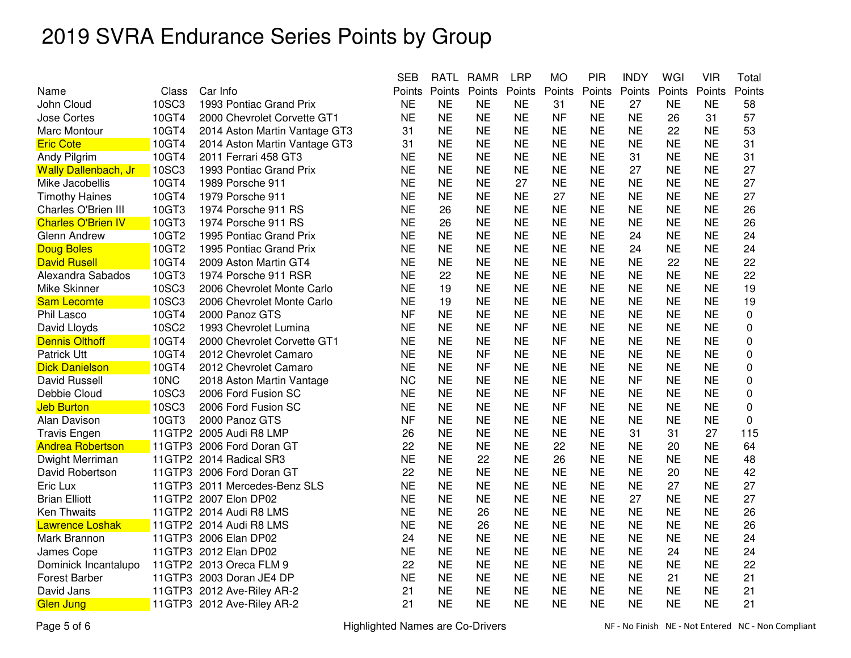|                             |              |                               | <b>SEB</b> | RATL      | <b>RAMR</b> | <b>LRP</b> | МO        | PIR       | <b>INDY</b> | WGI       | VIR       | Total     |
|-----------------------------|--------------|-------------------------------|------------|-----------|-------------|------------|-----------|-----------|-------------|-----------|-----------|-----------|
| Name                        | Class        | Car Info                      | Points     | Points    | Points      | Points     | Points    | Points    | Points      | Points    | Points    | Points    |
| John Cloud                  | <b>10SC3</b> | 1993 Pontiac Grand Prix       | <b>NE</b>  | <b>NE</b> | <b>NE</b>   | <b>NE</b>  | 31        | <b>NE</b> | 27          | <b>NE</b> | <b>NE</b> | 58        |
| <b>Jose Cortes</b>          | 10GT4        | 2000 Chevrolet Corvette GT1   | <b>NE</b>  | <b>NE</b> | <b>NE</b>   | <b>NE</b>  | <b>NF</b> | <b>NE</b> | <b>NE</b>   | 26        | 31        | 57        |
| Marc Montour                | 10GT4        | 2014 Aston Martin Vantage GT3 | 31         | <b>NE</b> | <b>NE</b>   | <b>NE</b>  | <b>NE</b> | <b>NE</b> | <b>NE</b>   | 22        | <b>NE</b> | 53        |
| <b>Eric Cote</b>            | 10GT4        | 2014 Aston Martin Vantage GT3 | 31         | <b>NE</b> | <b>NE</b>   | <b>NE</b>  | <b>NE</b> | <b>NE</b> | <b>NE</b>   | <b>NE</b> | <b>NE</b> | 31        |
| Andy Pilgrim                | 10GT4        | 2011 Ferrari 458 GT3          | <b>NE</b>  | <b>NE</b> | <b>NE</b>   | <b>NE</b>  | <b>NE</b> | <b>NE</b> | 31          | <b>NE</b> | <b>NE</b> | 31        |
| <b>Wally Dallenbach, Jr</b> | <b>10SC3</b> | 1993 Pontiac Grand Prix       | <b>NE</b>  | <b>NE</b> | <b>NE</b>   | <b>NE</b>  | <b>NE</b> | NΕ        | 27          | <b>NE</b> | NE        | 27        |
| Mike Jacobellis             | 10GT4        | 1989 Porsche 911              | <b>NE</b>  | <b>NE</b> | <b>NE</b>   | 27         | <b>NE</b> | <b>NE</b> | <b>NE</b>   | <b>NE</b> | <b>NE</b> | 27        |
| <b>Timothy Haines</b>       | 10GT4        | 1979 Porsche 911              | <b>NE</b>  | <b>NE</b> | <b>NE</b>   | <b>NE</b>  | 27        | <b>NE</b> | <b>NE</b>   | <b>NE</b> | <b>NE</b> | 27        |
| Charles O'Brien III         | 10GT3        | 1974 Porsche 911 RS           | <b>NE</b>  | 26        | <b>NE</b>   | <b>NE</b>  | <b>NE</b> | <b>NE</b> | <b>NE</b>   | <b>NE</b> | <b>NE</b> | 26        |
| <b>Charles O'Brien IV</b>   | 10GT3        | 1974 Porsche 911 RS           | <b>NE</b>  | 26        | <b>NE</b>   | <b>NE</b>  | <b>NE</b> | <b>NE</b> | <b>NE</b>   | <b>NE</b> | <b>NE</b> | 26        |
| Glenn Andrew                | 10GT2        | 1995 Pontiac Grand Prix       | <b>NE</b>  | <b>NE</b> | <b>NE</b>   | <b>NE</b>  | <b>NE</b> | <b>NE</b> | 24          | <b>NE</b> | <b>NE</b> | 24        |
| <b>Doug Boles</b>           | 10GT2        | 1995 Pontiac Grand Prix       | <b>NE</b>  | <b>NE</b> | <b>NE</b>   | <b>NE</b>  | <b>NE</b> | <b>NE</b> | 24          | <b>NE</b> | <b>NE</b> | 24        |
| <b>David Rusell</b>         | 10GT4        | 2009 Aston Martin GT4         | <b>NE</b>  | <b>NE</b> | <b>NE</b>   | <b>NE</b>  | <b>NE</b> | <b>NE</b> | <b>NE</b>   | 22        | <b>NE</b> | 22        |
| Alexandra Sabados           | 10GT3        | 1974 Porsche 911 RSR          | <b>NE</b>  | 22        | <b>NE</b>   | <b>NE</b>  | <b>NE</b> | <b>NE</b> | <b>NE</b>   | <b>NE</b> | <b>NE</b> | 22        |
| Mike Skinner                | <b>10SC3</b> | 2006 Chevrolet Monte Carlo    | <b>NE</b>  | 19        | <b>NE</b>   | <b>NE</b>  | <b>NE</b> | <b>NE</b> | <b>NE</b>   | <b>NE</b> | <b>NE</b> | 19        |
| <b>Sam Lecomte</b>          | <b>10SC3</b> | 2006 Chevrolet Monte Carlo    | <b>NE</b>  | 19        | <b>NE</b>   | <b>NE</b>  | <b>NE</b> | <b>NE</b> | <b>NE</b>   | <b>NE</b> | <b>NE</b> | 19        |
| Phil Lasco                  | 10GT4        | 2000 Panoz GTS                | <b>NF</b>  | <b>NE</b> | <b>NE</b>   | <b>NE</b>  | <b>NE</b> | <b>NE</b> | <b>NE</b>   | <b>NE</b> | <b>NE</b> | 0         |
| David Lloyds                | 10SC2        | 1993 Chevrolet Lumina         | <b>NE</b>  | <b>NE</b> | <b>NE</b>   | <b>NF</b>  | <b>NE</b> | <b>NE</b> | <b>NE</b>   | ΝE        | NE        | 0         |
| <b>Dennis Olthoff</b>       | 10GT4        | 2000 Chevrolet Corvette GT1   | <b>NE</b>  | <b>NE</b> | <b>NE</b>   | <b>NE</b>  | <b>NF</b> | <b>NE</b> | <b>NE</b>   | <b>NE</b> | <b>NE</b> | 0         |
| Patrick Utt                 | 10GT4        | 2012 Chevrolet Camaro         | <b>NE</b>  | <b>NE</b> | <b>NF</b>   | <b>NE</b>  | <b>NE</b> | <b>NE</b> | <b>NE</b>   | <b>NE</b> | <b>NE</b> | 0         |
| <b>Dick Danielson</b>       | 10GT4        | 2012 Chevrolet Camaro         | <b>NE</b>  | <b>NE</b> | <b>NF</b>   | <b>NE</b>  | <b>NE</b> | <b>NE</b> | <b>NE</b>   | <b>NE</b> | <b>NE</b> | $\pmb{0}$ |
| David Russell               | 10NC         | 2018 Aston Martin Vantage     | <b>NC</b>  | <b>NE</b> | <b>NE</b>   | <b>NE</b>  | <b>NE</b> | <b>NE</b> | <b>NF</b>   | <b>NE</b> | <b>NE</b> | 0         |
| Debbie Cloud                | 10SC3        | 2006 Ford Fusion SC           | <b>NE</b>  | <b>NE</b> | <b>NE</b>   | <b>NE</b>  | <b>NF</b> | <b>NE</b> | <b>NE</b>   | <b>NE</b> | <b>NE</b> | 0         |
| <b>Jeb Burton</b>           | <b>10SC3</b> | 2006 Ford Fusion SC           | <b>NE</b>  | <b>NE</b> | <b>NE</b>   | <b>NE</b>  | <b>NF</b> | <b>NE</b> | <b>NE</b>   | <b>NE</b> | <b>NE</b> | 0         |
| Alan Davison                | 10GT3        | 2000 Panoz GTS                | <b>NF</b>  | <b>NE</b> | <b>NE</b>   | <b>NE</b>  | <b>NE</b> | <b>NE</b> | <b>NE</b>   | <b>NE</b> | <b>NE</b> | $\Omega$  |
| <b>Travis Engen</b>         |              | 11GTP2 2005 Audi R8 LMP       | 26         | <b>NE</b> | <b>NE</b>   | <b>NE</b>  | <b>NE</b> | <b>NE</b> | 31          | 31        | 27        | 115       |
| <b>Andrea Robertson</b>     |              | 11GTP3 2006 Ford Doran GT     | 22         | <b>NE</b> | <b>NE</b>   | <b>NE</b>  | 22        | <b>NE</b> | <b>NE</b>   | 20        | <b>NE</b> | 64        |
| Dwight Merriman             |              | 11GTP2 2014 Radical SR3       | <b>NE</b>  | <b>NE</b> | 22          | <b>NE</b>  | 26        | <b>NE</b> | <b>NE</b>   | <b>NE</b> | <b>NE</b> | 48        |
| David Robertson             |              | 11GTP3 2006 Ford Doran GT     | 22         | <b>NE</b> | <b>NE</b>   | <b>NE</b>  | <b>NE</b> | <b>NE</b> | <b>NE</b>   | 20        | <b>NE</b> | 42        |
| Eric Lux                    |              | 11GTP3 2011 Mercedes-Benz SLS | <b>NE</b>  | <b>NE</b> | <b>NE</b>   | <b>NE</b>  | <b>NE</b> | <b>NE</b> | <b>NE</b>   | 27        | <b>NE</b> | 27        |
| <b>Brian Elliott</b>        |              | 11GTP2 2007 Elon DP02         | <b>NE</b>  | <b>NE</b> | <b>NE</b>   | <b>NE</b>  | <b>NE</b> | <b>NE</b> | 27          | <b>NE</b> | <b>NE</b> | 27        |
| <b>Ken Thwaits</b>          |              | 11GTP2 2014 Audi R8 LMS       | <b>NE</b>  | <b>NE</b> | 26          | <b>NE</b>  | <b>NE</b> | <b>NE</b> | <b>NE</b>   | <b>NE</b> | <b>NE</b> | 26        |
| <b>Lawrence Loshak</b>      |              | 11GTP2 2014 Audi R8 LMS       | <b>NE</b>  | <b>NE</b> | 26          | <b>NE</b>  | <b>NE</b> | <b>NE</b> | <b>NE</b>   | <b>NE</b> | <b>NE</b> | 26        |
| Mark Brannon                |              | 11GTP3 2006 Elan DP02         | 24         | <b>NE</b> | <b>NE</b>   | <b>NE</b>  | <b>NE</b> | <b>NE</b> | <b>NE</b>   | <b>NE</b> | <b>NE</b> | 24        |
| James Cope                  |              | 11GTP3 2012 Elan DP02         | <b>NE</b>  | <b>NE</b> | <b>NE</b>   | <b>NE</b>  | <b>NE</b> | <b>NE</b> | <b>NE</b>   | 24        | <b>NE</b> | 24        |
| Dominick Incantalupo        |              | 11GTP2 2013 Oreca FLM 9       | 22         | <b>NE</b> | <b>NE</b>   | <b>NE</b>  | <b>NE</b> | <b>NE</b> | <b>NE</b>   | <b>NE</b> | <b>NE</b> | 22        |
| <b>Forest Barber</b>        |              | 11GTP3 2003 Doran JE4 DP      | <b>NE</b>  | <b>NE</b> | <b>NE</b>   | <b>NE</b>  | <b>NE</b> | <b>NE</b> | <b>NE</b>   | 21        | <b>NE</b> | 21        |
| David Jans                  |              | 11GTP3 2012 Ave-Riley AR-2    | 21         | <b>NE</b> | <b>NE</b>   | <b>NE</b>  | <b>NE</b> | <b>NE</b> | <b>NE</b>   | <b>NE</b> | <b>NE</b> | 21        |
| <b>Glen Jung</b>            |              | 11GTP3 2012 Ave-Riley AR-2    | 21         | <b>NE</b> | <b>NE</b>   | <b>NE</b>  | <b>NE</b> | <b>NE</b> | <b>NE</b>   | <b>NE</b> | <b>NE</b> | 21        |